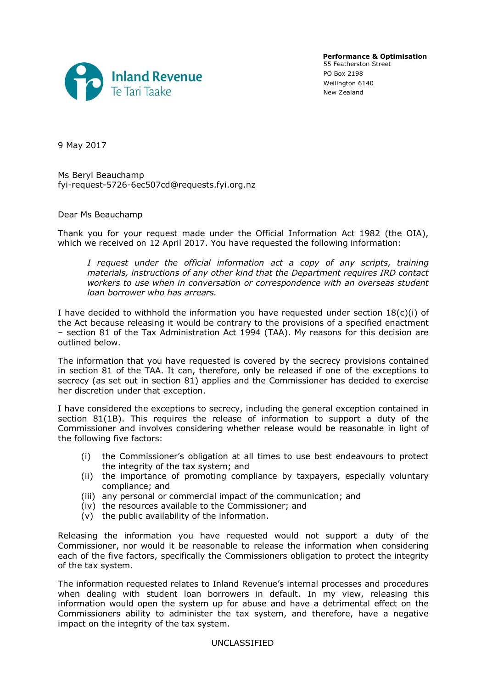

**Performance & Optimisation** 55 Featherston Street PO Box 2198 Wellington 6140 New Zealand

9 May 2017

Ms Beryl Beauchamp fyi-request-5726-6ec507cd@requests.fyi.org.nz

## Dear Ms Beauchamp

Thank you for your request made under the Official Information Act 1982 (the OIA), which we received on 12 April 2017. You have requested the following information:

*I request under the official information act a copy of any scripts, training materials, instructions of any other kind that the Department requires IRD contact workers to use when in conversation or correspondence with an overseas student loan borrower who has arrears.*

I have decided to withhold the information you have requested under section  $18(c)(i)$  of the Act because releasing it would be contrary to the provisions of a specified enactment – section 81 of the Tax Administration Act 1994 (TAA). My reasons for this decision are outlined below.

The information that you have requested is covered by the secrecy provisions contained in section 81 of the TAA. It can, therefore, only be released if one of the exceptions to secrecy (as set out in section 81) applies and the Commissioner has decided to exercise her discretion under that exception.

I have considered the exceptions to secrecy, including the general exception contained in section 81(1B). This requires the release of information to support a duty of the Commissioner and involves considering whether release would be reasonable in light of the following five factors:

- (i) the Commissioner's obligation at all times to use best endeavours to protect the integrity of the tax system; and
- (ii) the importance of promoting compliance by taxpayers, especially voluntary compliance; and
- (iii) any personal or commercial impact of the communication; and
- (iv) the resources available to the Commissioner; and
- (v) the public availability of the information.

Releasing the information you have requested would not support a duty of the Commissioner, nor would it be reasonable to release the information when considering each of the five factors, specifically the Commissioners obligation to protect the integrity of the tax system.

The information requested relates to Inland Revenue's internal processes and procedures when dealing with student loan borrowers in default. In my view, releasing this information would open the system up for abuse and have a detrimental effect on the Commissioners ability to administer the tax system, and therefore, have a negative impact on the integrity of the tax system.

## UNCLASSIFIED